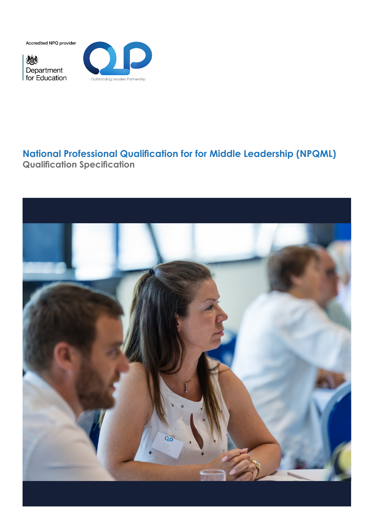Accredited NPQ provider

戀 Department<br>for Education



# **National Professional Qualification for for Middle Leadership (NPQML) Qualification Specification**

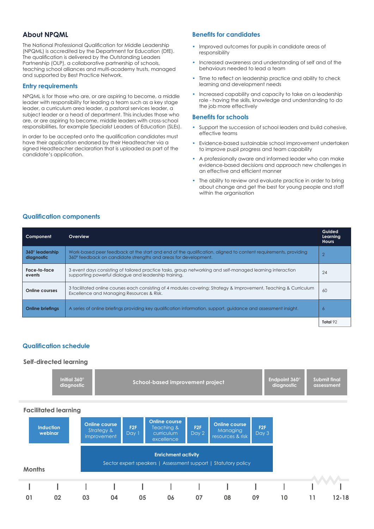# **About NPQML**

The National Professional Qualification for Middle Leadership (NPQML) is accredited by the Department for Education (DfE). The qualification is delivered by the Outstanding Leaders Partnership (OLP), a collaborative partnership of schools, teaching school alliances and multi-academy trusts, managed and supported by Best Practice Network.

#### **Entry requirements**

NPQML is for those who are, or are aspiring to become, a middle leader with responsibility for leading a team such as a key stage leader, a curriculum area leader, a pastoral services leader, a subject leader or a head of department. This includes those who are, or are aspiring to become, middle leaders with cross-school responsibilities, for example Specialist Leaders of Education (SLEs).

In order to be accepted onto the qualification candidates must have their application endorsed by their Headteacher via a signed Headteacher declaration that is uploaded as part of the candidate's application.

### **Benefits for candidates**

- Improved outcomes for pupils in candidate areas of responsibility
- Increased awareness and understanding of self and of the behaviours needed to lead a team
- Time to reflect on leadership practice and ability to check learning and development needs
- Increased capability and capacity to take on a leadership role - having the skills, knowledge and understanding to do the job more effectively

#### **Benefits for schools**

- Support the succession of school leaders and build cohesive, effective teams
- Evidence-based sustainable school improvement undertaken to improve pupil progress and team capability
- A professionally aware and informed leader who can make evidence-based decisions and approach new challenges in an effective and efficient manner
- The ability to review and evaluate practice in order to bring about change and get the best for young people and staff within the organisation

### **Qualification components**

| Component                            | Overview                                                                                                                                                                          | Guided<br>Learning<br>Hours |  |  |  |
|--------------------------------------|-----------------------------------------------------------------------------------------------------------------------------------------------------------------------------------|-----------------------------|--|--|--|
| $360^\circ$ leadership<br>diagnostic | Work-based peer feedback at the start and end of the qualification, aligned to content requirements, providing<br>360° feedback on candidate strengths and areas for development. |                             |  |  |  |
| Face-to-face<br>events               | 3 event days consisting of tailored practice tasks, group networking and self-managed learning interaction<br>24<br>supporting powerful dialogue and leadership training.         |                             |  |  |  |
| Online courses                       | 3 facilitated online courses each consisting of 4 modules covering: Strategy & Improvement, Teaching & Curriculum<br>60<br>Excellence and Managing Resources & Risk.              |                             |  |  |  |
| <b>Online briefings</b>              | A series of online briefings providing key qualification information, support, quidance and assessment insight.                                                                   | $\circ$                     |  |  |  |
|                                      |                                                                                                                                                                                   | Total 92                    |  |  |  |

# **Qualification schedule** *for serving and aspiring middle leaders.*

#### **Self-directed learning**

| Initial $360^\circ$ | School-based improvement project | Endpoint 360° | Submit final |
|---------------------|----------------------------------|---------------|--------------|
| diaanostic          |                                  | diaanostic    | assessment   |
|                     |                                  |               |              |

#### **Facilitated learning**

| <b>Induction</b><br>webinar |    |    | <b>Online course</b><br>Strategy &<br><i>improvement</i> | F2F<br>Day 1 | <b>Online course</b><br>Teaching &<br>curriculum<br>excellence                               | F2F<br>Day 2 | <b>Online course</b><br>Managing<br>resources & risk | F <sub>2F</sub><br>Day 3 |    |    |           |
|-----------------------------|----|----|----------------------------------------------------------|--------------|----------------------------------------------------------------------------------------------|--------------|------------------------------------------------------|--------------------------|----|----|-----------|
| <b>Months</b>               |    |    |                                                          |              | <b>Enrichment activity</b><br>Sector expert speakers   Assessment support   Statutory policy |              |                                                      |                          |    |    |           |
|                             |    |    |                                                          |              |                                                                                              |              |                                                      |                          |    |    |           |
| 01                          | 02 | 03 | 04                                                       | 05           | 06                                                                                           | 07           | 08                                                   | 09                       | 10 | 11 | $12 - 18$ |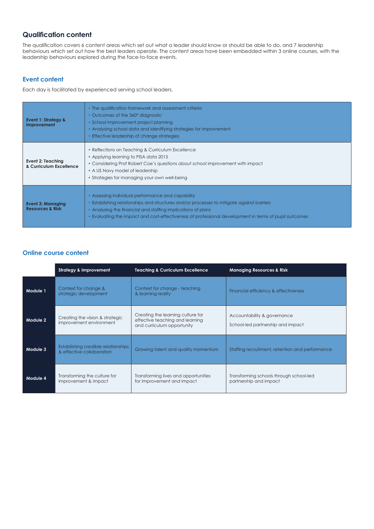# **Qualification content**

The qualification covers 6 content areas which set out what a leader should know or should be able to do, and 7 leadership behaviours which set out how the best leaders operate. The content areas have been embedded within 3 online courses, with the leadership behaviours explored during the face-to-face events.

### **Event content**

Each day is facilitated by experienced serving school leaders.

| <b>Event 1: Strategy &amp;</b><br>Improvement           | • The qualification framework and assessment criteria<br>Outcomes of the 360° diagnostic<br>School improvement project planning<br>• Analysing school data and identifying strategies for improvement<br>Effective leadership of change strategies                                                                  |  |  |  |  |  |
|---------------------------------------------------------|---------------------------------------------------------------------------------------------------------------------------------------------------------------------------------------------------------------------------------------------------------------------------------------------------------------------|--|--|--|--|--|
| Event 2: Teaching<br>& Curriculum Excellence            | • Reflections on Teaching & Curriculum Excellence<br>• Applying learning to PISA data 2015<br>• Considering Prof Robert Coe's questions about school improvement with impact<br>• A US Navy model of leadership<br>• Strategies for managing your own well-being                                                    |  |  |  |  |  |
| <b>Event 3: Managing</b><br><b>Resources &amp; Risk</b> | • Assessing individual performance and capability<br>Establishing relationships and structures and/or processes to mitigate against barriers<br>• Analysing the financial and staffing implications of plans<br>Evaluating the impact and cost-effectiveness of professional development in terms of pupil outcomes |  |  |  |  |  |

# **Online course content**

|          | <b>Strategy &amp; Improvement</b>                                | <b>Teaching &amp; Curriculum Excellence</b>                                                        | <b>Managing Resources &amp; Risk</b>                              |  |  |
|----------|------------------------------------------------------------------|----------------------------------------------------------------------------------------------------|-------------------------------------------------------------------|--|--|
| Module 1 | Context for change &<br>strategic development                    | Context for change - teaching<br>& learning reality                                                | Financial efficiency & effectiveness                              |  |  |
| Module 2 | Creating the vision & strategic<br>improvement environment       | Creating the learning culture for<br>effective teaching and learning<br>and curriculum opportunity | Accountability & governance<br>School-led partnership and impact  |  |  |
| Module 3 | Establishing credible relationships<br>& effective collaboration | Growing talent and quality momentum                                                                | Staffing recruitment, retention and performance                   |  |  |
| Module 4 | Transforming the culture for<br>improvement & impact             | Transforming lives and opportunities<br>for improvement and impact                                 | Transforming schools through school-led<br>partnership and impact |  |  |